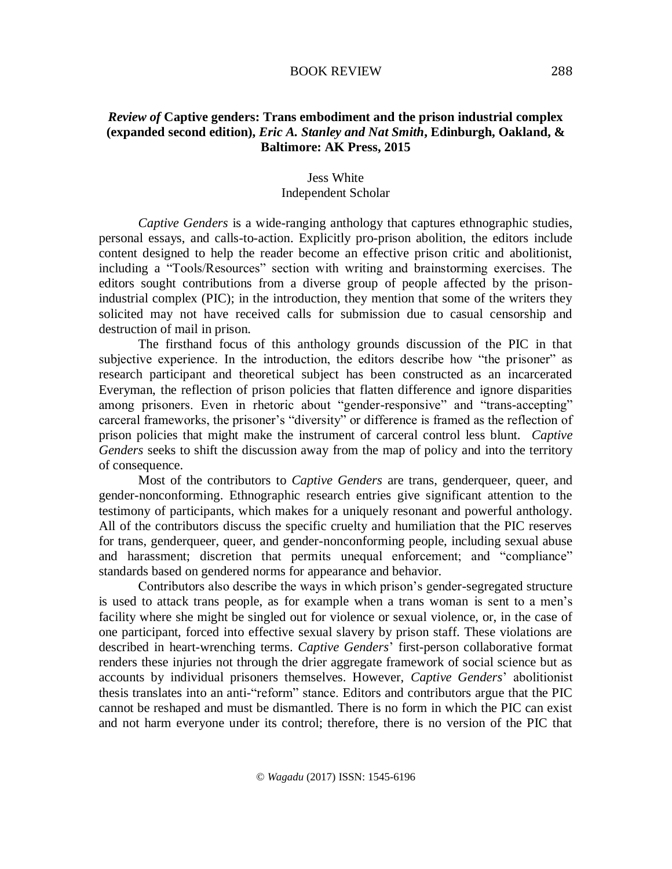## BOOK REVIEW

## *Review of* **Captive genders: Trans embodiment and the prison industrial complex (expanded second edition),** *Eric A. Stanley and Nat Smith***, Edinburgh, Oakland, & Baltimore: AK Press, 2015**

## Jess White Independent Scholar

*Captive Genders* is a wide-ranging anthology that captures ethnographic studies, personal essays, and calls-to-action. Explicitly pro-prison abolition, the editors include content designed to help the reader become an effective prison critic and abolitionist, including a "Tools/Resources" section with writing and brainstorming exercises. The editors sought contributions from a diverse group of people affected by the prisonindustrial complex (PIC); in the introduction, they mention that some of the writers they solicited may not have received calls for submission due to casual censorship and destruction of mail in prison.

The firsthand focus of this anthology grounds discussion of the PIC in that subjective experience. In the introduction, the editors describe how "the prisoner" as research participant and theoretical subject has been constructed as an incarcerated Everyman, the reflection of prison policies that flatten difference and ignore disparities among prisoners. Even in rhetoric about "gender-responsive" and "trans-accepting" carceral frameworks, the prisoner's "diversity" or difference is framed as the reflection of prison policies that might make the instrument of carceral control less blunt. *Captive Genders* seeks to shift the discussion away from the map of policy and into the territory of consequence.

Most of the contributors to *Captive Genders* are trans, genderqueer, queer, and gender-nonconforming. Ethnographic research entries give significant attention to the testimony of participants, which makes for a uniquely resonant and powerful anthology. All of the contributors discuss the specific cruelty and humiliation that the PIC reserves for trans, genderqueer, queer, and gender-nonconforming people, including sexual abuse and harassment; discretion that permits unequal enforcement; and "compliance" standards based on gendered norms for appearance and behavior.

Contributors also describe the ways in which prison's gender-segregated structure is used to attack trans people, as for example when a trans woman is sent to a men's facility where she might be singled out for violence or sexual violence, or, in the case of one participant, forced into effective sexual slavery by prison staff. These violations are described in heart-wrenching terms. *Captive Genders*' first-person collaborative format renders these injuries not through the drier aggregate framework of social science but as accounts by individual prisoners themselves. However, *Captive Genders*' abolitionist thesis translates into an anti-"reform" stance. Editors and contributors argue that the PIC cannot be reshaped and must be dismantled. There is no form in which the PIC can exist and not harm everyone under its control; therefore, there is no version of the PIC that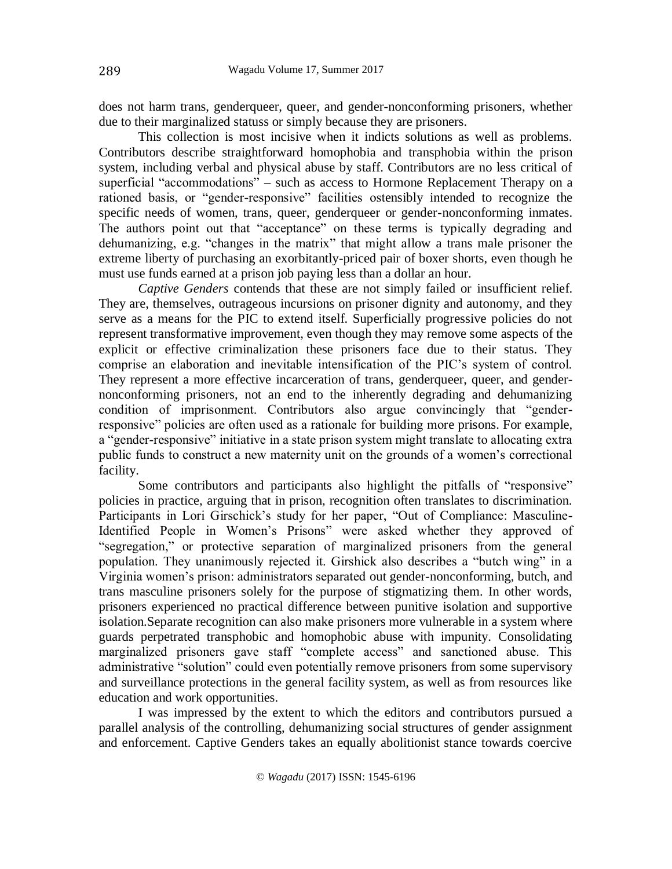does not harm trans, genderqueer, queer, and gender-nonconforming prisoners, whether due to their marginalized statuss or simply because they are prisoners.

This collection is most incisive when it indicts solutions as well as problems. Contributors describe straightforward homophobia and transphobia within the prison system, including verbal and physical abuse by staff. Contributors are no less critical of superficial "accommodations" – such as access to Hormone Replacement Therapy on a rationed basis, or "gender-responsive" facilities ostensibly intended to recognize the specific needs of women, trans, queer, genderqueer or gender-nonconforming inmates. The authors point out that "acceptance" on these terms is typically degrading and dehumanizing, e.g. "changes in the matrix" that might allow a trans male prisoner the extreme liberty of purchasing an exorbitantly-priced pair of boxer shorts, even though he must use funds earned at a prison job paying less than a dollar an hour.

*Captive Genders* contends that these are not simply failed or insufficient relief. They are, themselves, outrageous incursions on prisoner dignity and autonomy, and they serve as a means for the PIC to extend itself. Superficially progressive policies do not represent transformative improvement, even though they may remove some aspects of the explicit or effective criminalization these prisoners face due to their status. They comprise an elaboration and inevitable intensification of the PIC's system of control. They represent a more effective incarceration of trans, genderqueer, queer, and gendernonconforming prisoners, not an end to the inherently degrading and dehumanizing condition of imprisonment. Contributors also argue convincingly that "genderresponsive" policies are often used as a rationale for building more prisons. For example, a "gender-responsive" initiative in a state prison system might translate to allocating extra public funds to construct a new maternity unit on the grounds of a women's correctional facility.

Some contributors and participants also highlight the pitfalls of "responsive" policies in practice, arguing that in prison, recognition often translates to discrimination. Participants in Lori Girschick's study for her paper, "Out of Compliance: Masculine-Identified People in Women's Prisons" were asked whether they approved of "segregation," or protective separation of marginalized prisoners from the general population. They unanimously rejected it. Girshick also describes a "butch wing" in a Virginia women's prison: administrators separated out gender-nonconforming, butch, and trans masculine prisoners solely for the purpose of stigmatizing them. In other words, prisoners experienced no practical difference between punitive isolation and supportive isolation.Separate recognition can also make prisoners more vulnerable in a system where guards perpetrated transphobic and homophobic abuse with impunity. Consolidating marginalized prisoners gave staff "complete access" and sanctioned abuse. This administrative "solution" could even potentially remove prisoners from some supervisory and surveillance protections in the general facility system, as well as from resources like education and work opportunities.

I was impressed by the extent to which the editors and contributors pursued a parallel analysis of the controlling, dehumanizing social structures of gender assignment and enforcement. Captive Genders takes an equally abolitionist stance towards coercive